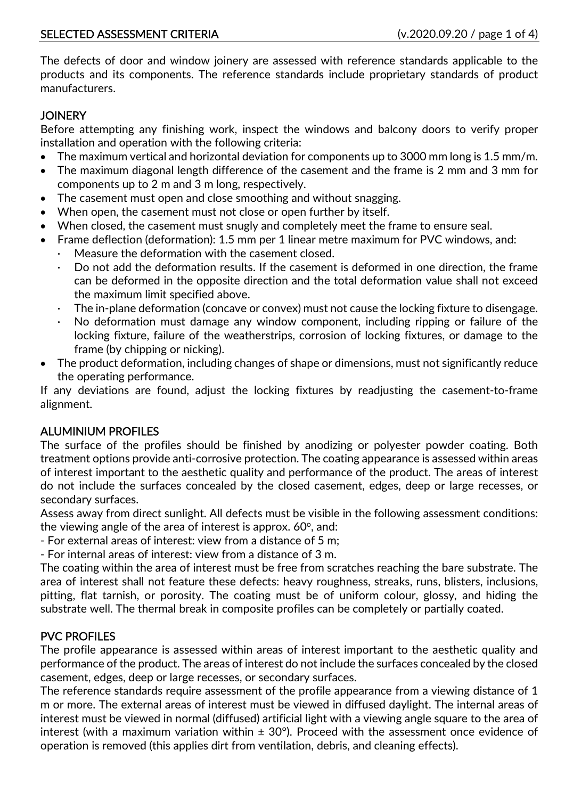The defects of door and window joinery are assessed with reference standards applicable to the products and its components. The reference standards include proprietary standards of product manufacturers.

## **JOINERY**

Before attempting any finishing work, inspect the windows and balcony doors to verify proper installation and operation with the following criteria:

- The maximum vertical and horizontal deviation for components up to 3000 mm long is 1.5 mm/m.
- The maximum diagonal length difference of the casement and the frame is 2 mm and 3 mm for components up to 2 m and 3 m long, respectively.
- The casement must open and close smoothing and without snagging.
- When open, the casement must not close or open further by itself.
- When closed, the casement must snugly and completely meet the frame to ensure seal.
- Frame deflection (deformation): 1.5 mm per 1 linear metre maximum for PVC windows, and:
	- Measure the deformation with the casement closed.
	- Do not add the deformation results. If the casement is deformed in one direction, the frame can be deformed in the opposite direction and the total deformation value shall not exceed the maximum limit specified above.
	- · The in-plane deformation (concave or convex) must not cause the locking fixture to disengage.
	- No deformation must damage any window component, including ripping or failure of the locking fixture, failure of the weatherstrips, corrosion of locking fixtures, or damage to the frame (by chipping or nicking).
- The product deformation, including changes of shape or dimensions, must not significantly reduce the operating performance.

If any deviations are found, adjust the locking fixtures by readjusting the casement-to-frame alignment.

# ALUMINIUM PROFILES

The surface of the profiles should be finished by anodizing or polyester powder coating. Both treatment options provide anti-corrosive protection. The coating appearance is assessed within areas of interest important to the aesthetic quality and performance of the product. The areas of interest do not include the surfaces concealed by the closed casement, edges, deep or large recesses, or secondary surfaces.

Assess away from direct sunlight. All defects must be visible in the following assessment conditions: the viewing angle of the area of interest is approx.  $60^{\circ}$ , and:

- For external areas of interest: view from a distance of 5 m;
- For internal areas of interest: view from a distance of 3 m.

The coating within the area of interest must be free from scratches reaching the bare substrate. The area of interest shall not feature these defects: heavy roughness, streaks, runs, blisters, inclusions, pitting, flat tarnish, or porosity. The coating must be of uniform colour, glossy, and hiding the substrate well. The thermal break in composite profiles can be completely or partially coated.

# PVC PROFILES

The profile appearance is assessed within areas of interest important to the aesthetic quality and performance of the product. The areas of interest do not include the surfaces concealed by the closed casement, edges, deep or large recesses, or secondary surfaces.

The reference standards require assessment of the profile appearance from a viewing distance of 1 m or more. The external areas of interest must be viewed in diffused daylight. The internal areas of interest must be viewed in normal (diffused) artificial light with a viewing angle square to the area of interest (with a maximum variation within  $\pm$  30°). Proceed with the assessment once evidence of operation is removed (this applies dirt from ventilation, debris, and cleaning effects).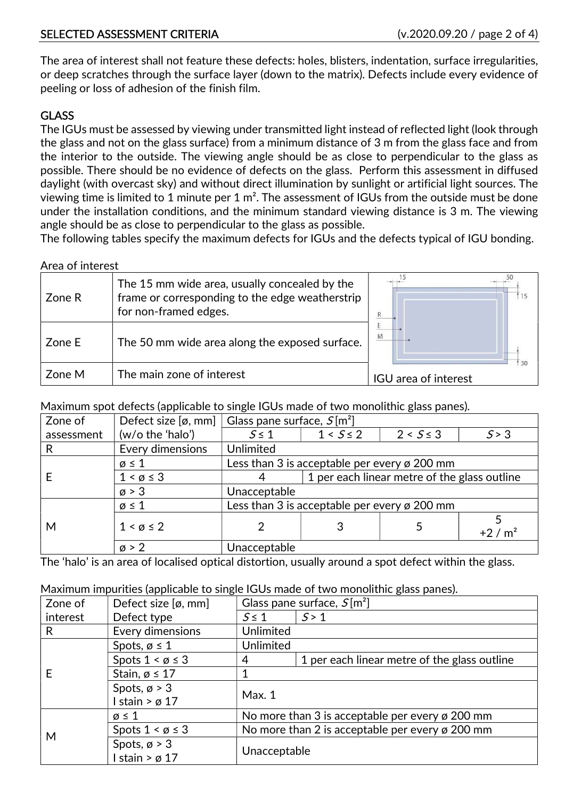## SELECTED ASSESSMENT CRITERIA (v.2020.09.20 / page 2 of 4)

The area of interest shall not feature these defects: holes, blisters, indentation, surface irregularities, or deep scratches through the surface layer (down to the matrix). Defects include every evidence of peeling or loss of adhesion of the finish film.

## **GLASS**

The IGUs must be assessed by viewing under transmitted light instead of reflected light (look through the glass and not on the glass surface) from a minimum distance of 3 m from the glass face and from the interior to the outside. The viewing angle should be as close to perpendicular to the glass as possible. There should be no evidence of defects on the glass. Perform this assessment in diffused daylight (with overcast sky) and without direct illumination by sunlight or artificial light sources. The viewing time is limited to 1 minute per 1 m². The assessment of IGUs from the outside must be done under the installation conditions, and the minimum standard viewing distance is 3 m. The viewing angle should be as close to perpendicular to the glass as possible.

The following tables specify the maximum defects for IGUs and the defects typical of IGU bonding.

Area of interest

| Zone R | The 15 mm wide area, usually concealed by the<br>frame or corresponding to the edge weatherstrip<br>for non-framed edges. |                      |
|--------|---------------------------------------------------------------------------------------------------------------------------|----------------------|
| Zone E | The 50 mm wide area along the exposed surface.                                                                            | M                    |
| Zone M | The main zone of interest                                                                                                 | IGU area of interest |

Maximum spot defects (applicable to single IGUs made of two monolithic glass panes).

| Zone of    | Defect size $[\emptyset, \text{mm}]$ | Glass pane surface, $S[m^2]$                             |                                              |               |         |
|------------|--------------------------------------|----------------------------------------------------------|----------------------------------------------|---------------|---------|
| assessment | (w/o the 'halo')                     | $5 \leq 1$                                               | $1 < S \le 2$                                | $2 < S \le 3$ | 5 > 3   |
| R          | Every dimensions                     | Unlimited                                                |                                              |               |         |
|            | $\varnothing \leq 1$                 | Less than 3 is acceptable per every $\varnothing$ 200 mm |                                              |               |         |
|            | $1 < \emptyset \leq 3$               |                                                          | 1 per each linear metre of the glass outline |               |         |
|            | $\varnothing$ > 3                    | Unacceptable                                             |                                              |               |         |
|            | $\emptyset \leq 1$                   | Less than 3 is acceptable per every ø 200 mm             |                                              |               |         |
| M          | $1 < \emptyset \leq 2$               |                                                          |                                              |               | $+2/m2$ |
|            | $\varnothing$ > 2                    | Unacceptable                                             |                                              |               |         |

The 'halo' is an area of localised optical distortion, usually around a spot defect within the glass.

#### Maximum impurities (applicable to single IGUs made of two monolithic glass panes).

| Zone of  | Defect size $[\emptyset, \text{mm}]$ | Glass pane surface, $S[m^2]$                    |                                              |  |
|----------|--------------------------------------|-------------------------------------------------|----------------------------------------------|--|
| interest | Defect type                          | $S \leq 1$                                      | S > 1                                        |  |
| R        | Every dimensions                     | Unlimited                                       |                                              |  |
|          | Spots, $\emptyset \leq 1$            | Unlimited                                       |                                              |  |
|          | Spots $1 < \emptyset \leq 3$         | 4                                               | 1 per each linear metre of the glass outline |  |
|          | Stain, $\alpha \leq 17$              |                                                 |                                              |  |
|          | Spots, $\varnothing$ > 3             | Max.1                                           |                                              |  |
|          | stain > $\varnothing$ 17             |                                                 |                                              |  |
|          | $\varnothing \leq 1$                 | No more than 3 is acceptable per every ø 200 mm |                                              |  |
| M        | Spots $1 < \emptyset \leq 3$         | No more than 2 is acceptable per every ø 200 mm |                                              |  |
|          | Spots, $\varnothing$ > 3             | Unacceptable                                    |                                              |  |
|          | stain > $\varnothing$ 17             |                                                 |                                              |  |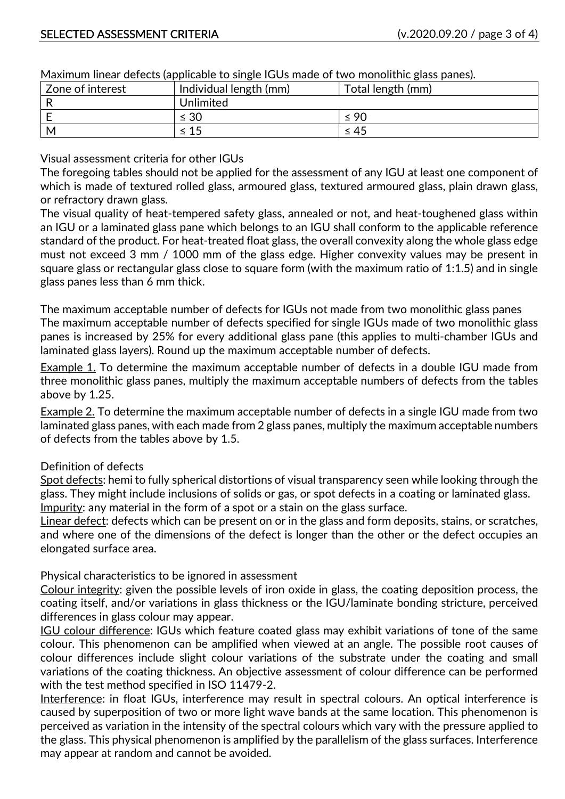| Zone of interest | rammani iliicar acreets (applicable to sirigic 1003 maac or two monolitric giass panes).<br>Individual length (mm) | Total length (mm) |
|------------------|--------------------------------------------------------------------------------------------------------------------|-------------------|
|                  | Unlimited                                                                                                          |                   |
|                  | $\leq 30$                                                                                                          | $\leq 90$         |
| M                | -15                                                                                                                | $\leq 45$         |

Maximum linear defects (applicable to single IGUs made of two monolithic glass panes).

Visual assessment criteria for other IGUs

The foregoing tables should not be applied for the assessment of any IGU at least one component of which is made of textured rolled glass, armoured glass, textured armoured glass, plain drawn glass, or refractory drawn glass.

The visual quality of heat-tempered safety glass, annealed or not, and heat-toughened glass within an IGU or a laminated glass pane which belongs to an IGU shall conform to the applicable reference standard of the product. For heat-treated float glass, the overall convexity along the whole glass edge must not exceed 3 mm / 1000 mm of the glass edge. Higher convexity values may be present in square glass or rectangular glass close to square form (with the maximum ratio of 1:1.5) and in single glass panes less than 6 mm thick.

The maximum acceptable number of defects for IGUs not made from two monolithic glass panes The maximum acceptable number of defects specified for single IGUs made of two monolithic glass panes is increased by 25% for every additional glass pane (this applies to multi-chamber IGUs and laminated glass layers). Round up the maximum acceptable number of defects.

Example 1. To determine the maximum acceptable number of defects in a double IGU made from three monolithic glass panes, multiply the maximum acceptable numbers of defects from the tables above by 1.25.

Example 2. To determine the maximum acceptable number of defects in a single IGU made from two laminated glass panes, with each made from 2 glass panes, multiply the maximum acceptable numbers of defects from the tables above by 1.5.

#### Definition of defects

Spot defects: hemi to fully spherical distortions of visual transparency seen while looking through the glass. They might include inclusions of solids or gas, or spot defects in a coating or laminated glass. Impurity: any material in the form of a spot or a stain on the glass surface.

Linear defect: defects which can be present on or in the glass and form deposits, stains, or scratches, and where one of the dimensions of the defect is longer than the other or the defect occupies an elongated surface area.

Physical characteristics to be ignored in assessment

Colour integrity: given the possible levels of iron oxide in glass, the coating deposition process, the coating itself, and/or variations in glass thickness or the IGU/laminate bonding stricture, perceived differences in glass colour may appear.

IGU colour difference: IGUs which feature coated glass may exhibit variations of tone of the same colour. This phenomenon can be amplified when viewed at an angle. The possible root causes of colour differences include slight colour variations of the substrate under the coating and small variations of the coating thickness. An objective assessment of colour difference can be performed with the test method specified in ISO 11479-2.

Interference: in float IGUs, interference may result in spectral colours. An optical interference is caused by superposition of two or more light wave bands at the same location. This phenomenon is perceived as variation in the intensity of the spectral colours which vary with the pressure applied to the glass. This physical phenomenon is amplified by the parallelism of the glass surfaces. Interference may appear at random and cannot be avoided.